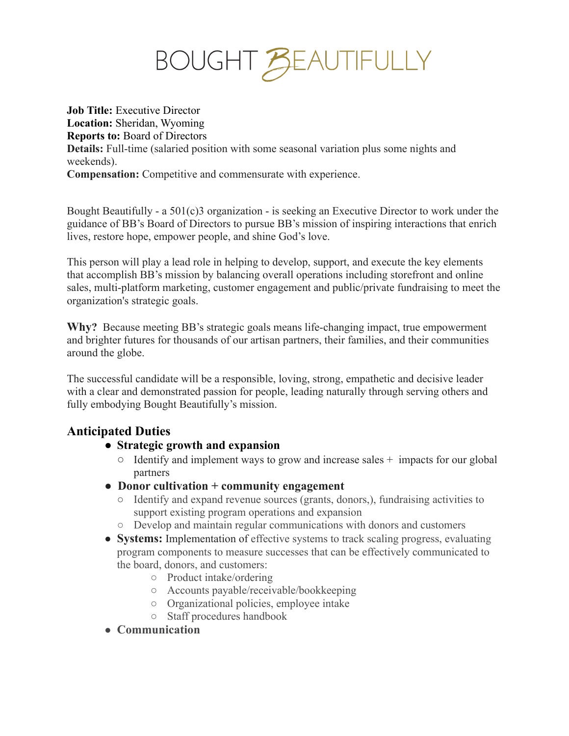# BOUGHT BEAUTIFULLY

**Job Title:** Executive Director **Location:** Sheridan, Wyoming **Reports to:** Board of Directors **Details:** Full-time (salaried position with some seasonal variation plus some nights and weekends). **Compensation:** Competitive and commensurate with experience.

Bought Beautifully - a 501(c)3 organization - is seeking an Executive Director to work under the guidance of BB's Board of Directors to pursue BB's mission of inspiring interactions that enrich lives, restore hope, empower people, and shine God's love.

This person will play a lead role in helping to develop, support, and execute the key elements that accomplish BB's mission by balancing overall operations including storefront and online sales, multi-platform marketing, customer engagement and public/private fundraising to meet the organization's strategic goals.

**Why?** Because meeting BB's strategic goals means life-changing impact, true empowerment and brighter futures for thousands of our artisan partners, their families, and their communities around the globe.

The successful candidate will be a responsible, loving, strong, empathetic and decisive leader with a clear and demonstrated passion for people, leading naturally through serving others and fully embodying Bought Beautifully's mission.

# **Anticipated Duties**

- **● Strategic growth and expansion**
	- **○** Identify and implement ways to grow and increase sales + impacts for our global partners
- **● Donor cultivation + community engagement**
	- Identify and expand revenue sources (grants, donors,), fundraising activities to support existing program operations and expansion
	- Develop and maintain regular communications with donors and customers
- **Systems:** Implementation of effective systems to track scaling progress, evaluating program components to measure successes that can be effectively communicated to the board, donors, and customers:
	- Product intake/ordering
	- Accounts payable/receivable/bookkeeping
	- Organizational policies, employee intake
	- Staff procedures handbook
- **Communication**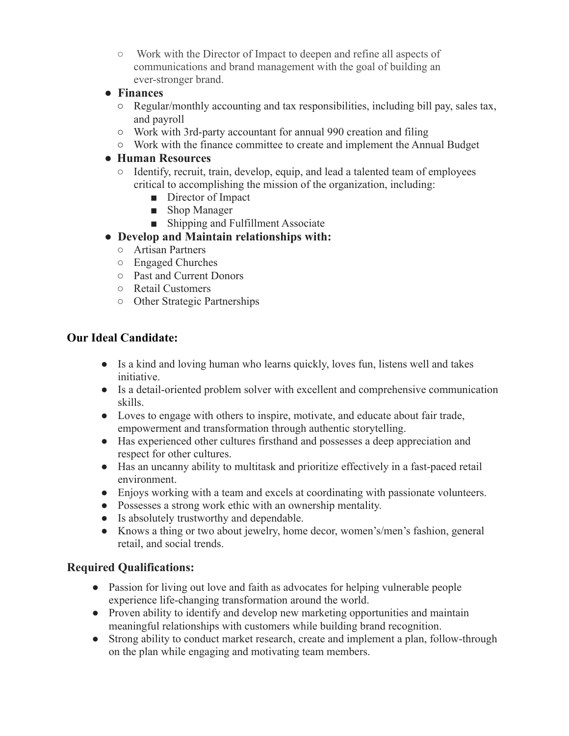- Work with the Director of Impact to deepen and refine all aspects of communications and brand management with the goal of building an ever-stronger brand.
- **● Finances**
	- Regular/monthly accounting and tax responsibilities, including bill pay, sales tax, and payroll
	- Work with 3rd-party accountant for annual 990 creation and filing
	- Work with the finance committee to create and implement the Annual Budget

#### **● Human Resources**

- Identify, recruit, train, develop, equip, and lead a talented team of employees critical to accomplishing the mission of the organization, including:
	- Director of Impact
	- Shop Manager
	- Shipping and Fulfillment Associate
- **● Develop and Maintain relationships with:**
	- Artisan Partners
	- Engaged Churches
	- Past and Current Donors
	- Retail Customers
	- Other Strategic Partnerships

## **Our Ideal Candidate:**

- Is a kind and loving human who learns quickly, loves fun, listens well and takes initiative.
- Is a detail-oriented problem solver with excellent and comprehensive communication skills.
- Loves to engage with others to inspire, motivate, and educate about fair trade, empowerment and transformation through authentic storytelling.
- Has experienced other cultures firsthand and possesses a deep appreciation and respect for other cultures.
- Has an uncanny ability to multitask and prioritize effectively in a fast-paced retail environment.
- Enjoys working with a team and excels at coordinating with passionate volunteers.
- Possesses a strong work ethic with an ownership mentality.
- Is absolutely trustworthy and dependable.
- Knows a thing or two about jewelry, home decor, women's/men's fashion, general retail, and social trends.

#### **Required Qualifications:**

- Passion for living out love and faith as advocates for helping vulnerable people experience life-changing transformation around the world.
- Proven ability to identify and develop new marketing opportunities and maintain meaningful relationships with customers while building brand recognition.
- Strong ability to conduct market research, create and implement a plan, follow-through on the plan while engaging and motivating team members.